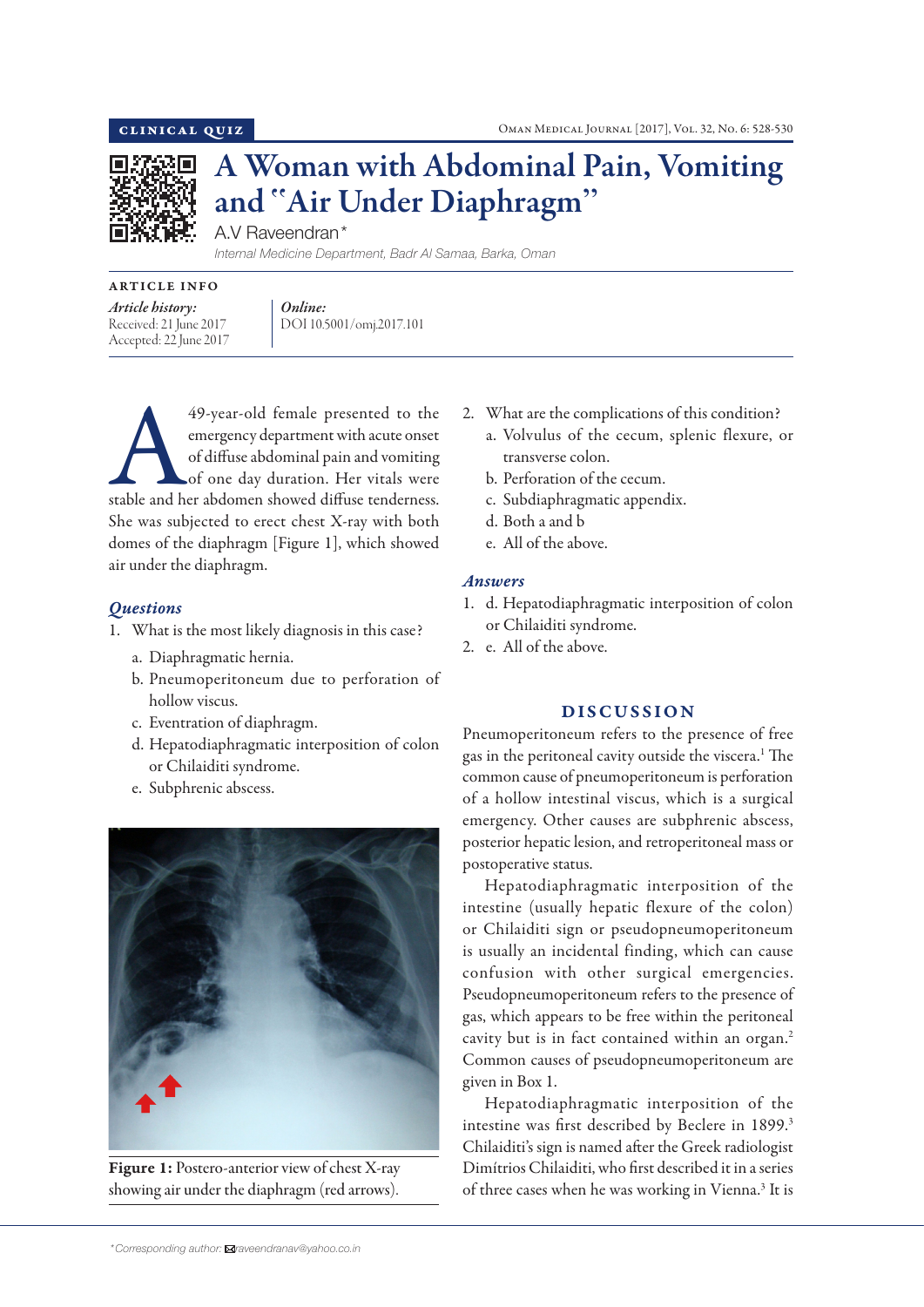

# A Woman with Abdominal Pain, Vomiting and "Air Under Diaphragm"

A.V Raveendran\*

*Internal Medicine Department, Badr Al Samaa, Barka, Oman*

# ARTICLE INFO

*Article history:*  Received: 21 June 2017 Accepted: 22 June 2017 *Online:* DOI 10.5001/omj.2017.101

49-year-old female presented to the emergency department with acute onset<br>of diffuse abdominal pain and vomiting<br>of one day duration. Her vitals were<br>stable and her abdomen showed diffuse tenderness. emergency department with acute onset of diffuse abdominal pain and vomiting of one day duration. Her vitals were She was subjected to erect chest X-ray with both domes of the diaphragm [Figure 1], which showed air under the diaphragm.

# *Questions*

- 1. What is the most likely diagnosis in this case?
	- a. Diaphragmatic hernia.
	- b. Pneumoperitoneum due to perforation of hollow viscus.
	- c. Eventration of diaphragm.
	- d. Hepatodiaphragmatic interposition of colon or Chilaiditi syndrome.
	- e. Subphrenic abscess.



Figure 1: Postero-anterior view of chest X-ray showing air under the diaphragm (red arrows).

- 2. What are the complications of this condition?
	- a. Volvulus of the cecum, splenic flexure, or transverse colon.
	- b. Perforation of the cecum.
	- c. Subdiaphragmatic appendix.
	- d. Both a and b
	- e. All of the above.

### *Answers*

- 1. d. Hepatodiaphragmatic interposition of colon or Chilaiditi syndrome.
- 2. e. All of the above.

# DISCUSSION

Pneumoperitoneum refers to the presence of free gas in the peritoneal cavity outside the viscera.<sup>1</sup> The common cause of pneumoperitoneum is perforation of a hollow intestinal viscus, which is a surgical emergency. Other causes are subphrenic abscess, posterior hepatic lesion, and retroperitoneal mass or postoperative status.

Hepatodiaphragmatic interposition of the intestine (usually hepatic flexure of the colon) or Chilaiditi sign or pseudopneumoperitoneum is usually an incidental finding, which can cause confusion with other surgical emergencies. Pseudopneumoperitoneum refers to the presence of gas, which appears to be free within the peritoneal cavity but is in fact contained within an organ.<sup>2</sup> Common causes of pseudopneumoperitoneum are given in Box 1.

Hepatodiaphragmatic interposition of the intestine was first described by Beclere in 1899.<sup>3</sup> Chilaiditi's sign is named after the Greek radiologist Dimítrios Chilaiditi, who first described it in a series of three cases when he was working in Vienna.<sup>3</sup> It is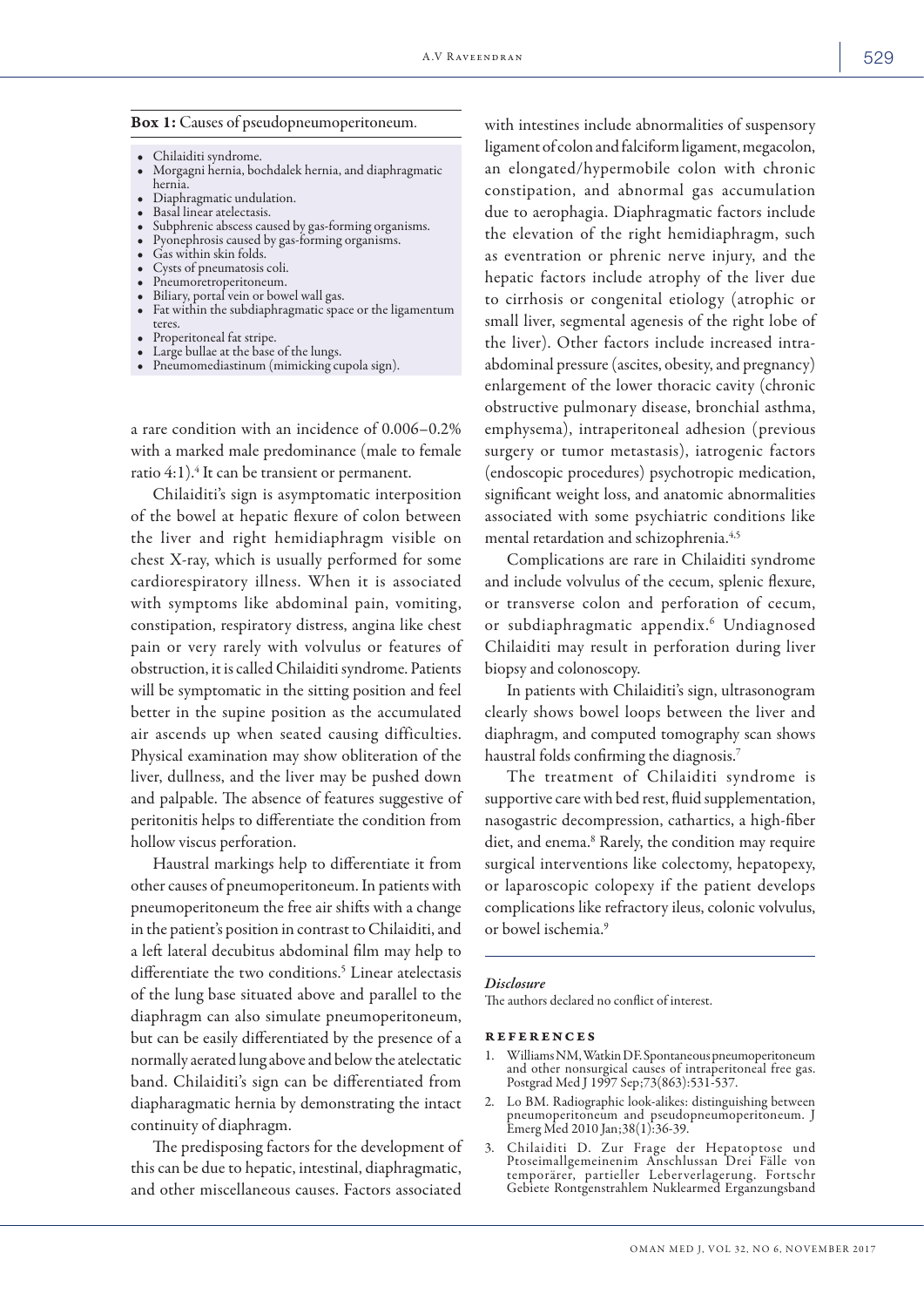## Box 1: Causes of pseudopneumoperitoneum.

- 
- Chilaiditi syndrome. Morgagni hernia, bochdalek hernia, and diaphragmatic
- 
- 
- 
- 
- 
- 
- 
- Diaphragmatic undulation.<br>• Basal linear atelectasis.<br>• Subphrenic abscess caused by gas-forming organisms.<br>• Pyonephrosis caused by gas-forming organisms.<br>• Gas within skin folds.<br>• Cysts of pneumatosis coli.<br>• Pneumore
- 
- 
- teres.<br>• Properitoneal fat stripe.<br>Large bullae at the base of the lungs.<br>• Pneumomediastinum (mimicking cupola sign).

a rare condition with an incidence of 0.006–0.2% with a marked male predominance (male to female ratio 4:1). $\mathrm{^4}$  It can be transient or permanent.

Chilaiditi's sign is asymptomatic interposition of the bowel at hepatic flexure of colon between the liver and right hemidiaphragm visible on chest X-ray, which is usually performed for some cardiorespiratory illness. When it is associated with symptoms like abdominal pain, vomiting, constipation, respiratory distress, angina like chest pain or very rarely with volvulus or features of obstruction, it is called Chilaiditi syndrome. Patients will be symptomatic in the sitting position and feel better in the supine position as the accumulated air ascends up when seated causing difficulties. Physical examination may show obliteration of the liver, dullness, and the liver may be pushed down and palpable. The absence of features suggestive of peritonitis helps to differentiate the condition from hollow viscus perforation.

Haustral markings help to differentiate it from other causes of pneumoperitoneum. In patients with pneumoperitoneum the free air shifts with a change in the patient's position in contrast to Chilaiditi, and a left lateral decubitus abdominal film may help to differentiate the two conditions.<sup>5</sup> Linear atelectasis of the lung base situated above and parallel to the diaphragm can also simulate pneumoperitoneum, but can be easily differentiated by the presence of a normally aerated lung above and below the atelectatic band. Chilaiditi's sign can be differentiated from diapharagmatic hernia by demonstrating the intact continuity of diaphragm.

The predisposing factors for the development of this can be due to hepatic, intestinal, diaphragmatic, and other miscellaneous causes. Factors associated

with intestines include abnormalities of suspensory ligament of colon and falciform ligament, megacolon, an elongated/hypermobile colon with chronic constipation, and abnormal gas accumulation due to aerophagia. Diaphragmatic factors include the elevation of the right hemidiaphragm, such as eventration or phrenic nerve injury, and the hepatic factors include atrophy of the liver due to cirrhosis or congenital etiology (atrophic or small liver, segmental agenesis of the right lobe of the liver). Other factors include increased intraabdominal pressure (ascites, obesity, and pregnancy) enlargement of the lower thoracic cavity (chronic obstructive pulmonary disease, bronchial asthma, emphysema), intraperitoneal adhesion (previous surgery or tumor metastasis), iatrogenic factors (endoscopic procedures) psychotropic medication, significant weight loss, and anatomic abnormalities associated with some psychiatric conditions like mental retardation and schizophrenia.<sup>4,5</sup>

Complications are rare in Chilaiditi syndrome and include volvulus of the cecum, splenic flexure, or transverse colon and perforation of cecum, or subdiaphragmatic appendix.<sup>6</sup> Undiagnosed Chilaiditi may result in perforation during liver biopsy and colonoscopy.

In patients with Chilaiditi's sign, ultrasonogram clearly shows bowel loops between the liver and diaphragm, and computed tomography scan shows haustral folds confirming the diagnosis.<sup>7</sup>

The treatment of Chilaiditi syndrome is supportive care with bed rest, fluid supplementation, nasogastric decompression, cathartics, a high-fiber diet, and enema.<sup>8</sup> Rarely, the condition may require surgical interventions like colectomy, hepatopexy, or laparoscopic colopexy if the patient develops complications like refractory ileus, colonic volvulus, or bowel ischemia.9

#### *Disclosure*

The authors declared no conflict of interest.

#### references

- 1. Williams NM, Watkin DF. Spontaneous pneumoperitoneum and other nonsurgical causes of intraperitoneal free gas. Postgrad Med J 1997 Sep;73(863):531-537.
- 2. Lo BM. Radiographic look-alikes: distinguishing between pneumoperitoneum and pseudopneumoperitoneum. J Emerg Med 2010 Jan;38(1):36-39.
- 3. Chilaiditi D. Zur Frage der Hepatoptose und Ptoseimallgemeinenim Anschlussan Drei Fälle von temporärer, partieller Leberverlagerung. Fortschr<br>Gebiete Rontgenstrahlem Nuklearmed Erganzungsband